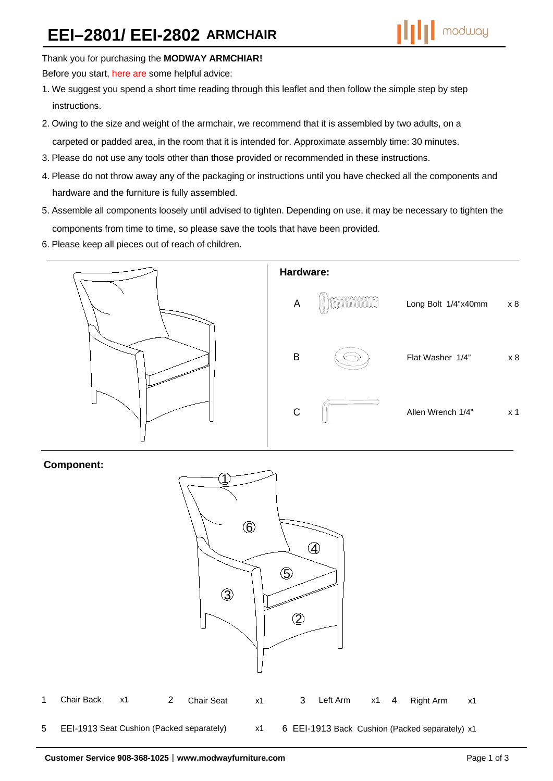# **EEI–2801/ EEI-2802 ARMCHAIR**



### Thank you for purchasing the **MODWAY ARMCHIAR!**

Before you start, here are some helpful advice:

- 1. We suggest you spend a short time reading through this leaflet and then follow the simple step by step instructions.
- 2. Owing to the size and weight of the armchair, we recommend that it is assembled by two adults, on a carpeted or padded area, in the room that it is intended for. Approximate assembly time: 30 minutes.
- 3. Please do not use any tools other than those provided or recommended in these instructions.
- 4. Please do not throw away any of the packaging or instructions until you have checked all the components and hardware and the furniture is fully assembled.
- 5. Assemble all components loosely until advised to tighten. Depending on use, it may be necessary to tighten the components from time to time, so please save the tools that have been provided.
- 6. Please keep all pieces out of reach of children.



## **Component:**

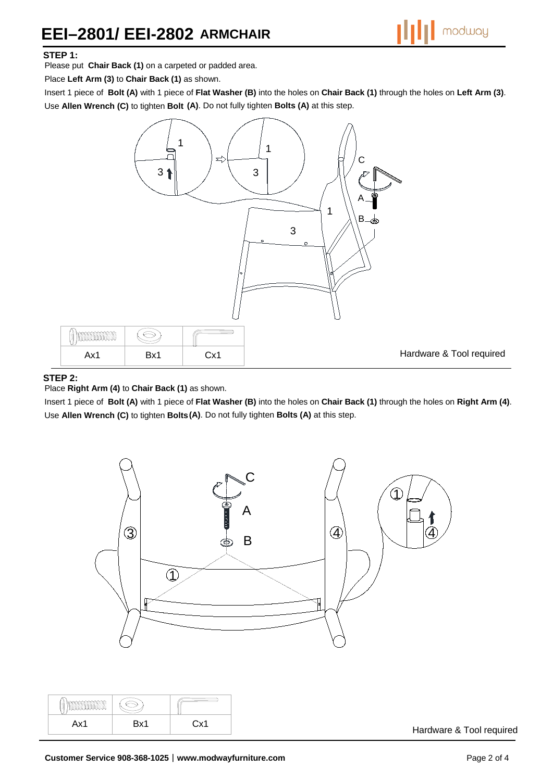# **EEI–2801/ EEI-2802 ARMCHAIR**



#### **STEP 1:**

Please put **Chair Back (1)** on a carpeted or padded area.

Place **Left Arm (3)** to **Chair Back (1)** as shown.

Insert 1 piece of **Bolt (A)** with 1 piece of **Flat Washer (B)** into the holes on **Chair Back (1)** through the holes on **Left Arm (3)**. Use **Allen Wrench (C)** to tighten **Bolt (A)**. Do not fully tighten **Bolts (A)** at this step.



#### **STEP 2:**

Place **Right Arm (4)** to **Chair Back (1)** as shown.

Insert 1 piece of **Bolt (A)** with 1 piece of **Flat Washer (B)** into the holes on **Chair Back (1)** through the holes on **Right Arm (4)**. Use **Allen Wrench (C)** to tighten **Bolts (A)**. Do not fully tighten **Bolts (A)** at this step.



| ۱v1<br>$\cdots$ | Rv1 | $\vee$ |
|-----------------|-----|--------|

Hardware & Tool required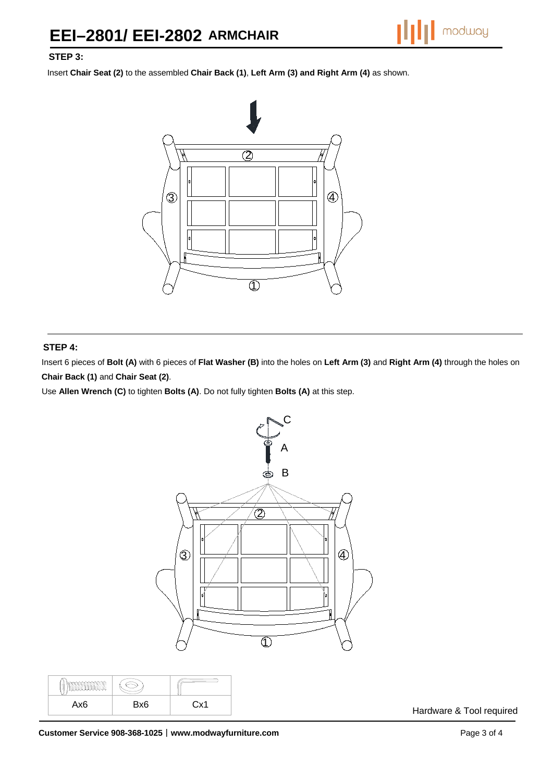# **STEP 3:**

Insert **Chair Seat (2)** to the assembled **Chair Back (1)**, **Left Arm (3) and Right Arm (4)** as shown.



#### **STEP 4:**

 $\overline{\mathbb{R}}$ 

Insert 6 pieces of **Bolt (A)** with 6 pieces of **Flat Washer (B)** into the holes on **Left Arm (3)** and **Right Arm (4)** through the holes on **Chair Back (1)** and **Chair Seat (2)**.

Use **Allen Wrench (C)** to tighten **Bolts (A)**. Do not fully tighten **Bolts (A)** at this step.